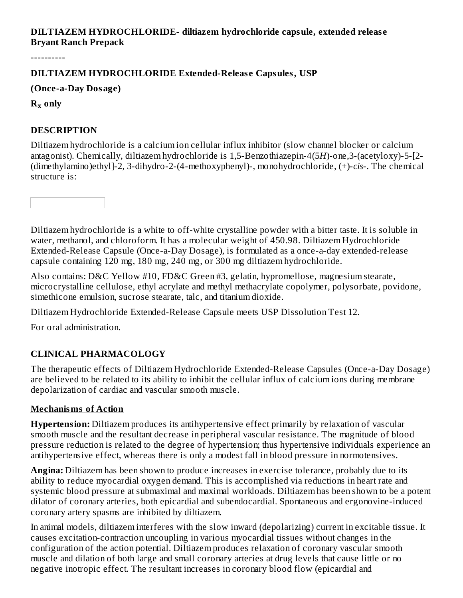## **DILTIAZEM HYDROCHLORIDE- diltiazem hydrochloride capsule, extended releas e Bryant Ranch Prepack**

----------

# **DILTIAZEM HYDROCHLORIDE Extended-Releas e Capsules, USP**

**(Once-a-Day Dosage)**

 $\mathbf{R}_{\mathbf{x}}$  only

### **DESCRIPTION**

Diltiazem hydrochloride is a calcium ion cellular influx inhibitor (slow channel blocker or calcium antagonist). Chemically, diltiazem hydrochloride is 1,5-Benzothiazepin-4(5*H*)-one,3-(acetyloxy)-5-[2- (dimethylamino)ethyl]-2, 3-dihydro-2-(4-methoxyphenyl)-, monohydrochloride, (+)-*cis*-. The chemical structure is:

Diltiazem hydrochloride is a white to off-white crystalline powder with a bitter taste. It is soluble in water, methanol, and chloroform. It has a molecular weight of 450.98. Diltiazem Hydrochloride Extended-Release Capsule (Once-a-Day Dosage), is formulated as a once-a-day extended-release capsule containing 120 mg, 180 mg, 240 mg, or 300 mg diltiazem hydrochloride.

Also contains: D&C Yellow #10, FD&C Green #3, gelatin, hypromellose, magnesium stearate, microcrystalline cellulose, ethyl acrylate and methyl methacrylate copolymer, polysorbate, povidone, simethicone emulsion, sucrose stearate, talc, and titanium dioxide.

Diltiazem Hydrochloride Extended-Release Capsule meets USP Dissolution Test 12.

For oral administration.

# **CLINICAL PHARMACOLOGY**

The therapeutic effects of Diltiazem Hydrochloride Extended-Release Capsules (Once-a-Day Dosage) are believed to be related to its ability to inhibit the cellular influx of calcium ions during membrane depolarization of cardiac and vascular smooth muscle.

### **Mechanisms of Action**

**Hypertension:** Diltiazem produces its antihypertensive effect primarily by relaxation of vascular smooth muscle and the resultant decrease in peripheral vascular resistance. The magnitude of blood pressure reduction is related to the degree of hypertension; thus hypertensive individuals experience an antihypertensive effect, whereas there is only a modest fall in blood pressure in normotensives.

**Angina:** Diltiazem has been shown to produce increases in exercise tolerance, probably due to its ability to reduce myocardial oxygen demand. This is accomplished via reductions in heart rate and systemic blood pressure at submaximal and maximal workloads. Diltiazem has been shown to be a potent dilator of coronary arteries, both epicardial and subendocardial. Spontaneous and ergonovine-induced coronary artery spasms are inhibited by diltiazem.

In animal models, diltiazem interferes with the slow inward (depolarizing) current in excitable tissue. It causes excitation-contraction uncoupling in various myocardial tissues without changes in the configuration of the action potential. Diltiazem produces relaxation of coronary vascular smooth muscle and dilation of both large and small coronary arteries at drug levels that cause little or no negative inotropic effect. The resultant increases in coronary blood flow (epicardial and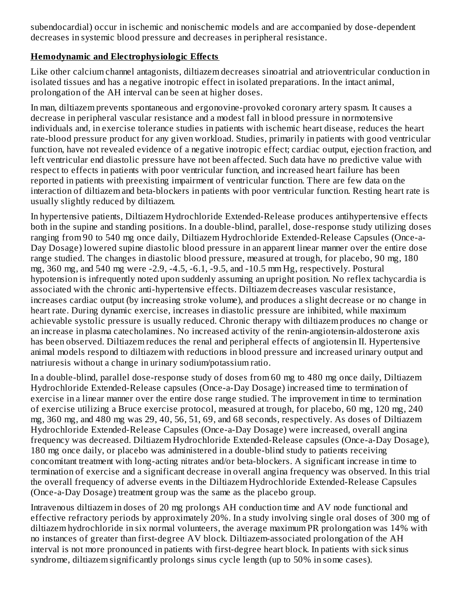subendocardial) occur in ischemic and nonischemic models and are accompanied by dose-dependent decreases in systemic blood pressure and decreases in peripheral resistance.

## **Hemodynamic and Electrophysiologic Effects**

Like other calcium channel antagonists, diltiazem decreases sinoatrial and atrioventricular conduction in isolated tissues and has a negative inotropic effect in isolated preparations. In the intact animal, prolongation of the AH interval can be seen at higher doses.

In man, diltiazem prevents spontaneous and ergonovine-provoked coronary artery spasm. It causes a decrease in peripheral vascular resistance and a modest fall in blood pressure in normotensive individuals and, in exercise tolerance studies in patients with ischemic heart disease, reduces the heart rate-blood pressure product for any given workload. Studies, primarily in patients with good ventricular function, have not revealed evidence of a negative inotropic effect; cardiac output, ejection fraction, and left ventricular end diastolic pressure have not been affected. Such data have no predictive value with respect to effects in patients with poor ventricular function, and increased heart failure has been reported in patients with preexisting impairment of ventricular function. There are few data on the interaction of diltiazem and beta-blockers in patients with poor ventricular function. Resting heart rate is usually slightly reduced by diltiazem.

In hypertensive patients, Diltiazem Hydrochloride Extended-Release produces antihypertensive effects both in the supine and standing positions. In a double-blind, parallel, dose-response study utilizing doses ranging from 90 to 540 mg once daily, Diltiazem Hydrochloride Extended-Release Capsules (Once-a-Day Dosage) lowered supine diastolic blood pressure in an apparent linear manner over the entire dose range studied. The changes in diastolic blood pressure, measured at trough, for placebo, 90 mg, 180 mg, 360 mg, and 540 mg were -2.9, -4.5, -6.1, -9.5, and -10.5 mm Hg, respectively. Postural hypotension is infrequently noted upon suddenly assuming an upright position. No reflex tachycardia is associated with the chronic anti-hypertensive effects. Diltiazem decreases vascular resistance, increases cardiac output (by increasing stroke volume), and produces a slight decrease or no change in heart rate. During dynamic exercise, increases in diastolic pressure are inhibited, while maximum achievable systolic pressure is usually reduced. Chronic therapy with diltiazem produces no change or an increase in plasma catecholamines. No increased activity of the renin-angiotensin-aldosterone axis has been observed. Diltiazem reduces the renal and peripheral effects of angiotensin II. Hypertensive animal models respond to diltiazem with reductions in blood pressure and increased urinary output and natriuresis without a change in urinary sodium/potassium ratio.

In a double-blind, parallel dose-response study of doses from 60 mg to 480 mg once daily, Diltiazem Hydrochloride Extended-Release capsules (Once-a-Day Dosage) increased time to termination of exercise in a linear manner over the entire dose range studied. The improvement in time to termination of exercise utilizing a Bruce exercise protocol, measured at trough, for placebo, 60 mg, 120 mg, 240 mg, 360 mg, and 480 mg was 29, 40, 56, 51, 69, and 68 seconds, respectively. As doses of Diltiazem Hydrochloride Extended-Release Capsules (Once-a-Day Dosage) were increased, overall angina frequency was decreased. Diltiazem Hydrochloride Extended-Release capsules (Once-a-Day Dosage), 180 mg once daily, or placebo was administered in a double-blind study to patients receiving concomitant treatment with long-acting nitrates and/or beta-blockers. A significant increase in time to termination of exercise and a significant decrease in overall angina frequency was observed. In this trial the overall frequency of adverse events in the Diltiazem Hydrochloride Extended-Release Capsules (Once-a-Day Dosage) treatment group was the same as the placebo group.

Intravenous diltiazem in doses of 20 mg prolongs AH conduction time and AV node functional and effective refractory periods by approximately 20%. In a study involving single oral doses of 300 mg of diltiazem hydrochloride in six normal volunteers, the average maximum PR prolongation was 14% with no instances of greater than first-degree AV block. Diltiazem-associated prolongation of the AH interval is not more pronounced in patients with first-degree heart block. In patients with sick sinus syndrome, diltiazem significantly prolongs sinus cycle length (up to 50% in some cases).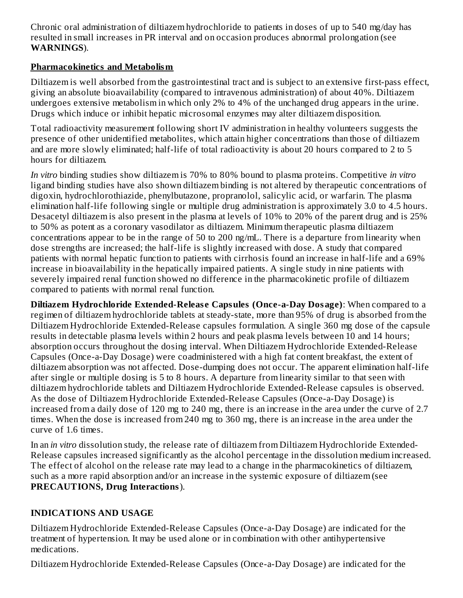Chronic oral administration of diltiazem hydrochloride to patients in doses of up to 540 mg/day has resulted in small increases in PR interval and on occasion produces abnormal prolongation (see **WARNINGS**).

# **Pharmacokinetics and Metabolism**

Diltiazem is well absorbed from the gastrointestinal tract and is subject to an extensive first-pass effect, giving an absolute bioavailability (compared to intravenous administration) of about 40%. Diltiazem undergoes extensive metabolism in which only 2% to 4% of the unchanged drug appears in the urine. Drugs which induce or inhibit hepatic microsomal enzymes may alter diltiazem disposition.

Total radioactivity measurement following short IV administration in healthy volunteers suggests the presence of other unidentified metabolites, which attain higher concentrations than those of diltiazem and are more slowly eliminated; half-life of total radioactivity is about 20 hours compared to 2 to 5 hours for diltiazem.

*In vitro* binding studies show diltiazem is 70% to 80% bound to plasma proteins. Competitive *in vitro* ligand binding studies have also shown diltiazem binding is not altered by therapeutic concentrations of digoxin, hydrochlorothiazide, phenylbutazone, propranolol, salicylic acid, or warfarin. The plasma elimination half-life following single or multiple drug administration is approximately 3.0 to 4.5 hours. Desacetyl diltiazem is also present in the plasma at levels of 10% to 20% of the parent drug and is 25% to 50% as potent as a coronary vasodilator as diltiazem. Minimum therapeutic plasma diltiazem concentrations appear to be in the range of 50 to 200 ng/mL. There is a departure from linearity when dose strengths are increased; the half-life is slightly increased with dose. A study that compared patients with normal hepatic function to patients with cirrhosis found an increase in half-life and a 69% increase in bioavailability in the hepatically impaired patients. A single study in nine patients with severely impaired renal function showed no difference in the pharmacokinetic profile of diltiazem compared to patients with normal renal function.

**Diltiazem Hydrochloride Extended-Releas e Capsules (Once-a-Day Dosage)**: When compared to a regimen of diltiazem hydrochloride tablets at steady-state, more than 95% of drug is absorbed from the Diltiazem Hydrochloride Extended-Release capsules formulation. A single 360 mg dose of the capsule results in detectable plasma levels within 2 hours and peak plasma levels between 10 and 14 hours; absorption occurs throughout the dosing interval. When Diltiazem Hydrochloride Extended-Release Capsules (Once-a-Day Dosage) were coadministered with a high fat content breakfast, the extent of diltiazem absorption was not affected. Dose-dumping does not occur. The apparent elimination half-life after single or multiple dosing is 5 to 8 hours. A departure from linearity similar to that seen with diltiazem hydrochloride tablets and Diltiazem Hydrochloride Extended-Release capsules is observed. As the dose of Diltiazem Hydrochloride Extended-Release Capsules (Once-a-Day Dosage) is increased from a daily dose of 120 mg to 240 mg, there is an increase in the area under the curve of 2.7 times. When the dose is increased from 240 mg to 360 mg, there is an increase in the area under the curve of 1.6 times.

In an *in vitro* dissolution study, the release rate of diltiazem from Diltiazem Hydrochloride Extended-Release capsules increased significantly as the alcohol percentage in the dissolution medium increased. The effect of alcohol on the release rate may lead to a change in the pharmacokinetics of diltiazem, such as a more rapid absorption and/or an increase in the systemic exposure of diltiazem (see **PRECAUTIONS, Drug Interactions**).

# **INDICATIONS AND USAGE**

Diltiazem Hydrochloride Extended-Release Capsules (Once-a-Day Dosage) are indicated for the treatment of hypertension. It may be used alone or in combination with other antihypertensive medications.

Diltiazem Hydrochloride Extended-Release Capsules (Once-a-Day Dosage) are indicated for the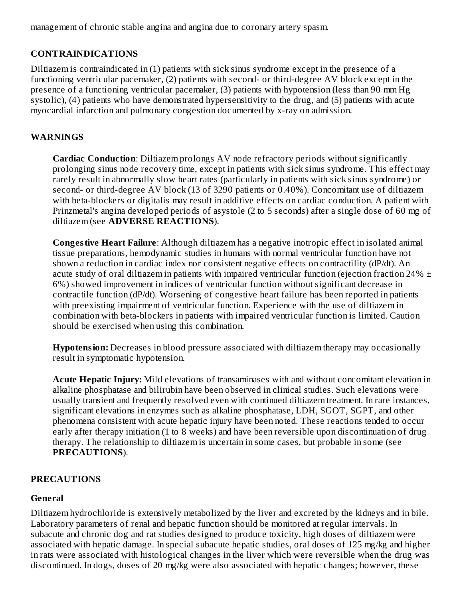management of chronic stable angina and angina due to coronary artery spasm.

### **CONTRAINDICATIONS**

Diltiazem is contraindicated in (1) patients with sick sinus syndrome except in the presence of a functioning ventricular pacemaker, (2) patients with second- or third-degree AV block except in the presence of a functioning ventricular pacemaker, (3) patients with hypotension (less than 90 mm Hg systolic), (4) patients who have demonstrated hypersensitivity to the drug, and (5) patients with acute myocardial infarction and pulmonary congestion documented by x-ray on admission.

## **WARNINGS**

**Cardiac Conduction**: Diltiazem prolongs AV node refractory periods without significantly prolonging sinus node recovery time, except in patients with sick sinus syndrome. This effect may rarely result in abnormally slow heart rates (particularly in patients with sick sinus syndrome) or second- or third-degree AV block (13 of 3290 patients or 0.40%). Concomitant use of diltiazem with beta-blockers or digitalis may result in additive effects on cardiac conduction. A patient with Prinzmetal's angina developed periods of asystole (2 to 5 seconds) after a single dose of 60 mg of diltiazem (see **ADVERSE REACTIONS**).

**Congestive Heart Failure**: Although diltiazem has a negative inotropic effect in isolated animal tissue preparations, hemodynamic studies in humans with normal ventricular function have not shown a reduction in cardiac index nor consistent negative effects on contractility (dP/dt). An acute study of oral diltiazem in patients with impaired ventricular function (ejection fraction 24% ± 6%) showed improvement in indices of ventricular function without significant decrease in contractile function (dP/dt). Worsening of congestive heart failure has been reported in patients with preexisting impairment of ventricular function. Experience with the use of diltiazem in combination with beta-blockers in patients with impaired ventricular function is limited. Caution should be exercised when using this combination.

**Hypotension:** Decreases in blood pressure associated with diltiazem therapy may occasionally result in symptomatic hypotension.

**Acute Hepatic Injury:** Mild elevations of transaminases with and without concomitant elevation in alkaline phosphatase and bilirubin have been observed in clinical studies. Such elevations were usually transient and frequently resolved even with continued diltiazem treatment. In rare instances, significant elevations in enzymes such as alkaline phosphatase, LDH, SGOT, SGPT, and other phenomena consistent with acute hepatic injury have been noted. These reactions tended to occur early after therapy initiation (1 to 8 weeks) and have been reversible upon discontinuation of drug therapy. The relationship to diltiazem is uncertain in some cases, but probable in some (see **PRECAUTIONS**).

### **PRECAUTIONS**

# **General**

Diltiazem hydrochloride is extensively metabolized by the liver and excreted by the kidneys and in bile. Laboratory parameters of renal and hepatic function should be monitored at regular intervals. In subacute and chronic dog and rat studies designed to produce toxicity, high doses of diltiazem were associated with hepatic damage. In special subacute hepatic studies, oral doses of 125 mg/kg and higher in rats were associated with histological changes in the liver which were reversible when the drug was discontinued. In dogs, doses of 20 mg/kg were also associated with hepatic changes; however, these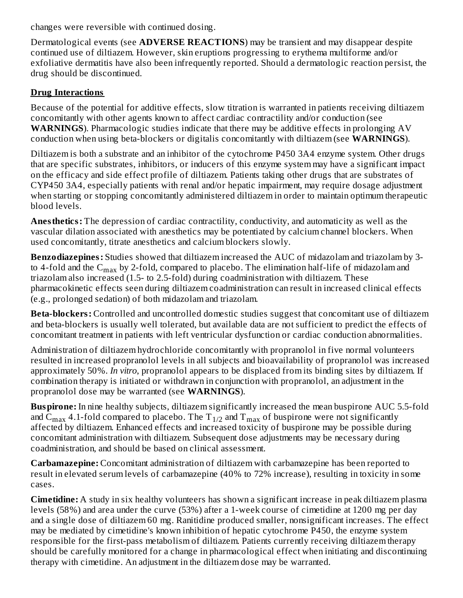changes were reversible with continued dosing.

Dermatological events (see **ADVERSE REACTIONS**) may be transient and may disappear despite continued use of diltiazem. However, skin eruptions progressing to erythema multiforme and/or exfoliative dermatitis have also been infrequently reported. Should a dermatologic reaction persist, the drug should be discontinued.

# **Drug Interactions**

Because of the potential for additive effects, slow titration is warranted in patients receiving diltiazem concomitantly with other agents known to affect cardiac contractility and/or conduction (see **WARNINGS**). Pharmacologic studies indicate that there may be additive effects in prolonging AV conduction when using beta-blockers or digitalis concomitantly with diltiazem (see **WARNINGS**).

Diltiazem is both a substrate and an inhibitor of the cytochrome P450 3A4 enzyme system. Other drugs that are specific substrates, inhibitors, or inducers of this enzyme system may have a significant impact on the efficacy and side effect profile of diltiazem. Patients taking other drugs that are substrates of CYP450 3A4, especially patients with renal and/or hepatic impairment, may require dosage adjustment when starting or stopping concomitantly administered diltiazem in order to maintain optimum therapeutic blood levels.

**Anesthetics:** The depression of cardiac contractility, conductivity, and automaticity as well as the vascular dilation associated with anesthetics may be potentiated by calcium channel blockers. When used concomitantly, titrate anesthetics and calcium blockers slowly.

**Benzodiazepines:** Studies showed that diltiazem increased the AUC of midazolam and triazolam by 3 to 4-fold and the  $\mathsf{C}_{\max}$  by 2-fold, compared to placebo. The elimination half-life of midazolam and triazolam also increased (1.5- to 2.5-fold) during coadministration with diltiazem. These pharmacokinetic effects seen during diltiazem coadministration can result in increased clinical effects (e.g., prolonged sedation) of both midazolam and triazolam.

**Beta-blockers:** Controlled and uncontrolled domestic studies suggest that concomitant use of diltiazem and beta-blockers is usually well tolerated, but available data are not sufficient to predict the effects of concomitant treatment in patients with left ventricular dysfunction or cardiac conduction abnormalities.

Administration of diltiazem hydrochloride concomitantly with propranolol in five normal volunteers resulted in increased propranolol levels in all subjects and bioavailability of propranolol was increased approximately 50%. *In vitro*, propranolol appears to be displaced from its binding sites by diltiazem. If combination therapy is initiated or withdrawn in conjunction with propranolol, an adjustment in the propranolol dose may be warranted (see **WARNINGS**).

**Buspirone:** In nine healthy subjects, diltiazem significantly increased the mean buspirone AUC 5.5-fold and  $\rm C_{max}$  4.1-fold compared to placebo. The  $\rm T_{1/2}$  and  $\rm T_{max}$  of buspirone were not significantly affected by diltiazem. Enhanced effects and increased toxicity of buspirone may be possible during concomitant administration with diltiazem. Subsequent dose adjustments may be necessary during coadministration, and should be based on clinical assessment.

**Carbamazepine:** Concomitant administration of diltiazem with carbamazepine has been reported to result in elevated serum levels of carbamazepine (40% to 72% increase), resulting in toxicity in some cases.

**Cimetidine:** A study in six healthy volunteers has shown a significant increase in peak diltiazem plasma levels (58%) and area under the curve (53%) after a 1-week course of cimetidine at 1200 mg per day and a single dose of diltiazem 60 mg. Ranitidine produced smaller, nonsignificant increases. The effect may be mediated by cimetidine's known inhibition of hepatic cytochrome P450, the enzyme system responsible for the first-pass metabolism of diltiazem. Patients currently receiving diltiazem therapy should be carefully monitored for a change in pharmacological effect when initiating and discontinuing therapy with cimetidine. An adjustment in the diltiazem dose may be warranted.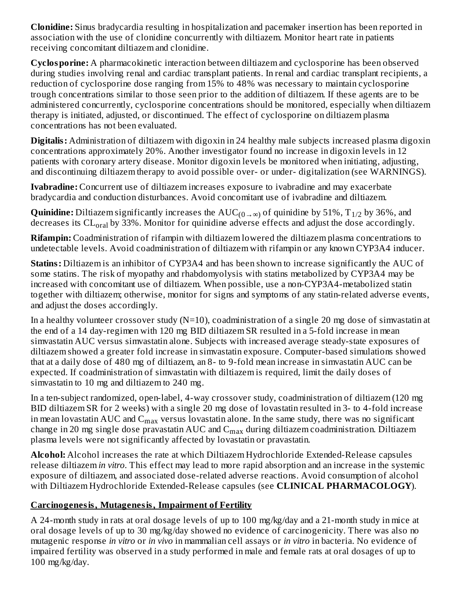**Clonidine:** Sinus bradycardia resulting in hospitalization and pacemaker insertion has been reported in association with the use of clonidine concurrently with diltiazem. Monitor heart rate in patients receiving concomitant diltiazem and clonidine.

**Cyclosporine:** A pharmacokinetic interaction between diltiazem and cyclosporine has been observed during studies involving renal and cardiac transplant patients. In renal and cardiac transplant recipients, a reduction of cyclosporine dose ranging from 15% to 48% was necessary to maintain cyclosporine trough concentrations similar to those seen prior to the addition of diltiazem. If these agents are to be administered concurrently, cyclosporine concentrations should be monitored, especially when diltiazem therapy is initiated, adjusted, or discontinued. The effect of cyclosporine on diltiazem plasma concentrations has not been evaluated.

**Digitalis:** Administration of diltiazem with digoxin in 24 healthy male subjects increased plasma digoxin concentrations approximately 20%. Another investigator found no increase in digoxin levels in 12 patients with coronary artery disease. Monitor digoxin levels be monitored when initiating, adjusting, and discontinuing diltiazem therapy to avoid possible over- or under- digitalization (see WARNINGS).

**Ivabradine:** Concurrent use of diltiazem increases exposure to ivabradine and may exacerbate bradycardia and conduction disturbances. Avoid concomitant use of ivabradine and diltiazem.

**Quinidine:** Diltiazem significantly increases the  $AUC_{(0\to\infty)}$  of quinidine by 51%, T<sub>1/2</sub> by 36%, and decreases its  $\rm CL_{oral}$  by 33%. Monitor for quinidine adverse effects and adjust the dose accordingly.

**Rifampin:** Coadministration of rifampin with diltiazem lowered the diltiazem plasma concentrations to undetectable levels. Avoid coadministration of diltiazem with rifampin or any known CYP3A4 inducer.

**Statins:** Diltiazem is an inhibitor of CYP3A4 and has been shown to increase significantly the AUC of some statins. The risk of myopathy and rhabdomyolysis with statins metabolized by CYP3A4 may be increased with concomitant use of diltiazem. When possible, use a non-CYP3A4-metabolized statin together with diltiazem; otherwise, monitor for signs and symptoms of any statin-related adverse events, and adjust the doses accordingly.

In a healthy volunteer crossover study ( $N=10$ ), coadministration of a single 20 mg dose of simvastatin at the end of a 14 day-regimen with 120 mg BID diltiazem SR resulted in a 5-fold increase in mean simvastatin AUC versus simvastatin alone. Subjects with increased average steady-state exposures of diltiazem showed a greater fold increase in simvastatin exposure. Computer-based simulations showed that at a daily dose of 480 mg of diltiazem, an 8- to 9-fold mean increase in simvastatin AUC can be expected. If coadministration of simvastatin with diltiazem is required, limit the daily doses of simvastatin to 10 mg and diltiazem to 240 mg.

In a ten-subject randomized, open-label, 4-way crossover study, coadministration of diltiazem (120 mg BID diltiazem SR for 2 weeks) with a single 20 mg dose of lovastatin resulted in 3- to 4-fold increase in mean lovastatin AUC and  $\mathsf{C_{max}}$  versus lovastatin alone. In the same study, there was no significant change in 20 mg single dose pravastatin AUC and  $\mathsf{C}_{\max}$  during diltiazem coadministration. Diltiazem plasma levels were not significantly affected by lovastatin or pravastatin.

**Alcohol:** Alcohol increases the rate at which Diltiazem Hydrochloride Extended-Release capsules release diltiazem *in vitro*. This effect may lead to more rapid absorption and an increase in the systemic exposure of diltiazem, and associated dose-related adverse reactions. Avoid consumption of alcohol with Diltiazem Hydrochloride Extended-Release capsules (see **CLINICAL PHARMACOLOGY**).

# **Carcinogenesis, Mutagenesis, Impairment of Fertility**

A 24-month study in rats at oral dosage levels of up to 100 mg/kg/day and a 21-month study in mice at oral dosage levels of up to 30 mg/kg/day showed no evidence of carcinogenicity. There was also no mutagenic response *in vitro* or *in vivo* in mammalian cell assays or *in vitro* in bacteria. No evidence of impaired fertility was observed in a study performed in male and female rats at oral dosages of up to 100 mg/kg/day.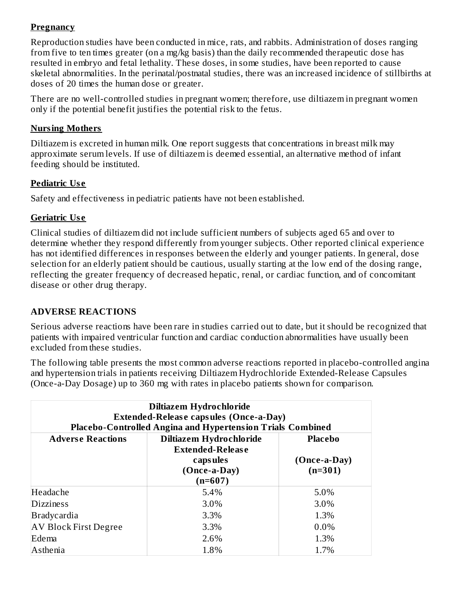## **Pregnancy**

Reproduction studies have been conducted in mice, rats, and rabbits. Administration of doses ranging from five to ten times greater (on a mg/kg basis) than the daily recommended therapeutic dose has resulted in embryo and fetal lethality. These doses, in some studies, have been reported to cause skeletal abnormalities. In the perinatal/postnatal studies, there was an increased incidence of stillbirths at doses of 20 times the human dose or greater.

There are no well-controlled studies in pregnant women; therefore, use diltiazem in pregnant women only if the potential benefit justifies the potential risk to the fetus.

## **Nursing Mothers**

Diltiazem is excreted in human milk. One report suggests that concentrations in breast milk may approximate serum levels. If use of diltiazem is deemed essential, an alternative method of infant feeding should be instituted.

# **Pediatric Us e**

Safety and effectiveness in pediatric patients have not been established.

# **Geriatric Us e**

Clinical studies of diltiazem did not include sufficient numbers of subjects aged 65 and over to determine whether they respond differently from younger subjects. Other reported clinical experience has not identified differences in responses between the elderly and younger patients. In general, dose selection for an elderly patient should be cautious, usually starting at the low end of the dosing range, reflecting the greater frequency of decreased hepatic, renal, or cardiac function, and of concomitant disease or other drug therapy.

# **ADVERSE REACTIONS**

Serious adverse reactions have been rare in studies carried out to date, but it should be recognized that patients with impaired ventricular function and cardiac conduction abnormalities have usually been excluded from these studies.

The following table presents the most common adverse reactions reported in placebo-controlled angina and hypertension trials in patients receiving Diltiazem Hydrochloride Extended-Release Capsules (Once-a-Day Dosage) up to 360 mg with rates in placebo patients shown for comparison.

| Diltiazem Hydrochloride<br><b>Extended-Release capsules (Once-a-Day)</b><br><b>Placebo-Controlled Angina and Hypertension Trials Combined</b> |                                                    |                |  |  |
|-----------------------------------------------------------------------------------------------------------------------------------------------|----------------------------------------------------|----------------|--|--|
| <b>Adverse Reactions</b>                                                                                                                      | Diltiazem Hydrochloride<br><b>Extended-Release</b> | <b>Placebo</b> |  |  |
|                                                                                                                                               | capsules                                           | (Once-a-Day)   |  |  |
|                                                                                                                                               | (Once-a-Day)                                       | $(n=301)$      |  |  |
|                                                                                                                                               | $(n=607)$                                          |                |  |  |
| Headache                                                                                                                                      | 5.4%                                               | 5.0%           |  |  |
| <b>Dizziness</b>                                                                                                                              | 3.0%                                               | 3.0%           |  |  |
| <b>Bradycardia</b>                                                                                                                            | 3.3%                                               | 1.3%           |  |  |
| <b>AV Block First Degree</b>                                                                                                                  | 3.3%                                               | $0.0\%$        |  |  |
| Edema                                                                                                                                         | 2.6%                                               | 1.3%           |  |  |
| Asthenia                                                                                                                                      | 1.8%                                               | 1.7%           |  |  |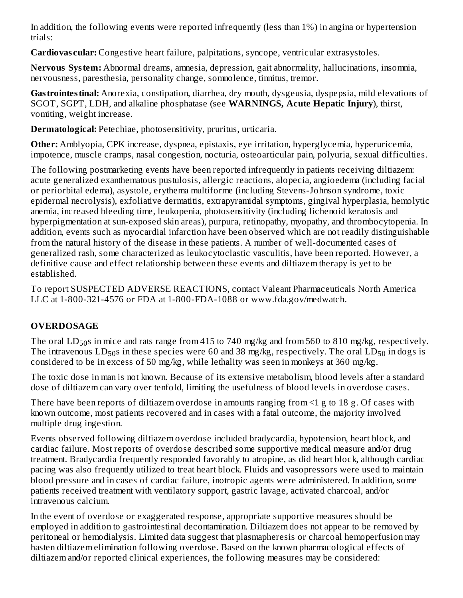In addition, the following events were reported infrequently (less than 1%) in angina or hypertension trials:

**Cardiovas cular:** Congestive heart failure, palpitations, syncope, ventricular extrasystoles.

**Nervous System:** Abnormal dreams, amnesia, depression, gait abnormality, hallucinations, insomnia, nervousness, paresthesia, personality change, somnolence, tinnitus, tremor.

**Gastrointestinal:** Anorexia, constipation, diarrhea, dry mouth, dysgeusia, dyspepsia, mild elevations of SGOT, SGPT, LDH, and alkaline phosphatase (see **WARNINGS, Acute Hepatic Injury**), thirst, vomiting, weight increase.

**Dermatological:** Petechiae, photosensitivity, pruritus, urticaria.

**Other:** Amblyopia, CPK increase, dyspnea, epistaxis, eye irritation, hyperglycemia, hyperuricemia, impotence, muscle cramps, nasal congestion, nocturia, osteoarticular pain, polyuria, sexual difficulties.

The following postmarketing events have been reported infrequently in patients receiving diltiazem: acute generalized exanthematous pustulosis, allergic reactions, alopecia, angioedema (including facial or periorbital edema), asystole, erythema multiforme (including Stevens-Johnson syndrome, toxic epidermal necrolysis), exfoliative dermatitis, extrapyramidal symptoms, gingival hyperplasia, hemolytic anemia, increased bleeding time, leukopenia, photosensitivity (including lichenoid keratosis and hyperpigmentation at sun-exposed skin areas), purpura, retinopathy, myopathy, and thrombocytopenia. In addition, events such as myocardial infarction have been observed which are not readily distinguishable from the natural history of the disease in these patients. A number of well-documented cases of generalized rash, some characterized as leukocytoclastic vasculitis, have been reported. However, a definitive cause and effect relationship between these events and diltiazem therapy is yet to be established.

To report SUSPECTED ADVERSE REACTIONS, contact Valeant Pharmaceuticals North America LLC at 1-800-321-4576 or FDA at 1-800-FDA-1088 or www.fda.gov/medwatch.

# **OVERDOSAGE**

The oral  $LD_{50}$ s in mice and rats range from 415 to 740 mg/kg and from 560 to 810 mg/kg, respectively. The intravenous  $\mathrm{LD}_{50}$ s in these species were 60 and 38 mg/kg, respectively. The oral  $\mathrm{LD}_{50}$  in dogs is considered to be in excess of 50 mg/kg, while lethality was seen in monkeys at 360 mg/kg.

The toxic dose in man is not known. Because of its extensive metabolism, blood levels after a standard dose of diltiazem can vary over tenfold, limiting the usefulness of blood levels in overdose cases.

There have been reports of diltiazem overdose in amounts ranging from <1 g to 18 g. Of cases with known outcome, most patients recovered and in cases with a fatal outcome, the majority involved multiple drug ingestion.

Events observed following diltiazem overdose included bradycardia, hypotension, heart block, and cardiac failure. Most reports of overdose described some supportive medical measure and/or drug treatment. Bradycardia frequently responded favorably to atropine, as did heart block, although cardiac pacing was also frequently utilized to treat heart block. Fluids and vasopressors were used to maintain blood pressure and in cases of cardiac failure, inotropic agents were administered. In addition, some patients received treatment with ventilatory support, gastric lavage, activated charcoal, and/or intravenous calcium.

In the event of overdose or exaggerated response, appropriate supportive measures should be employed in addition to gastrointestinal decontamination. Diltiazem does not appear to be removed by peritoneal or hemodialysis. Limited data suggest that plasmapheresis or charcoal hemoperfusion may hasten diltiazem elimination following overdose. Based on the known pharmacological effects of diltiazem and/or reported clinical experiences, the following measures may be considered: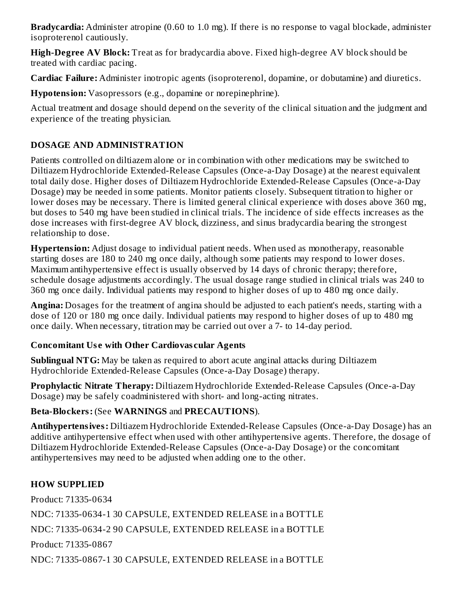**Bradycardia:** Administer atropine (0.60 to 1.0 mg). If there is no response to vagal blockade, administer isoproterenol cautiously.

**High-Degree AV Block:** Treat as for bradycardia above. Fixed high-degree AV block should be treated with cardiac pacing.

**Cardiac Failure:** Administer inotropic agents (isoproterenol, dopamine, or dobutamine) and diuretics.

**Hypotension:** Vasopressors (e.g., dopamine or norepinephrine).

Actual treatment and dosage should depend on the severity of the clinical situation and the judgment and experience of the treating physician.

# **DOSAGE AND ADMINISTRATION**

Patients controlled on diltiazem alone or in combination with other medications may be switched to Diltiazem Hydrochloride Extended-Release Capsules (Once-a-Day Dosage) at the nearest equivalent total daily dose. Higher doses of Diltiazem Hydrochloride Extended-Release Capsules (Once-a-Day Dosage) may be needed in some patients. Monitor patients closely. Subsequent titration to higher or lower doses may be necessary. There is limited general clinical experience with doses above 360 mg, but doses to 540 mg have been studied in clinical trials. The incidence of side effects increases as the dose increases with first-degree AV block, dizziness, and sinus bradycardia bearing the strongest relationship to dose.

**Hypertension:** Adjust dosage to individual patient needs. When used as monotherapy, reasonable starting doses are 180 to 240 mg once daily, although some patients may respond to lower doses. Maximum antihypertensive effect is usually observed by 14 days of chronic therapy; therefore, schedule dosage adjustments accordingly. The usual dosage range studied in clinical trials was 240 to 360 mg once daily. Individual patients may respond to higher doses of up to 480 mg once daily.

**Angina:** Dosages for the treatment of angina should be adjusted to each patient's needs, starting with a dose of 120 or 180 mg once daily. Individual patients may respond to higher doses of up to 480 mg once daily. When necessary, titration may be carried out over a 7- to 14-day period.

# **Concomitant Us e with Other Cardiovas cular Agents**

**Sublingual NTG:** May be taken as required to abort acute anginal attacks during Diltiazem Hydrochloride Extended-Release Capsules (Once-a-Day Dosage) therapy.

**Prophylactic Nitrate Therapy:** Diltiazem Hydrochloride Extended-Release Capsules (Once-a-Day Dosage) may be safely coadministered with short- and long-acting nitrates.

# **Beta-Blockers:** (See **WARNINGS** and **PRECAUTIONS**).

**Antihypertensives:** Diltiazem Hydrochloride Extended-Release Capsules (Once-a-Day Dosage) has an additive antihypertensive effect when used with other antihypertensive agents. Therefore, the dosage of Diltiazem Hydrochloride Extended-Release Capsules (Once-a-Day Dosage) or the concomitant antihypertensives may need to be adjusted when adding one to the other.

# **HOW SUPPLIED**

Product: 71335-0634 NDC: 71335-0634-1 30 CAPSULE, EXTENDED RELEASE in a BOTTLE NDC: 71335-0634-2 90 CAPSULE, EXTENDED RELEASE in a BOTTLE Product: 71335-0867 NDC: 71335-0867-1 30 CAPSULE, EXTENDED RELEASE in a BOTTLE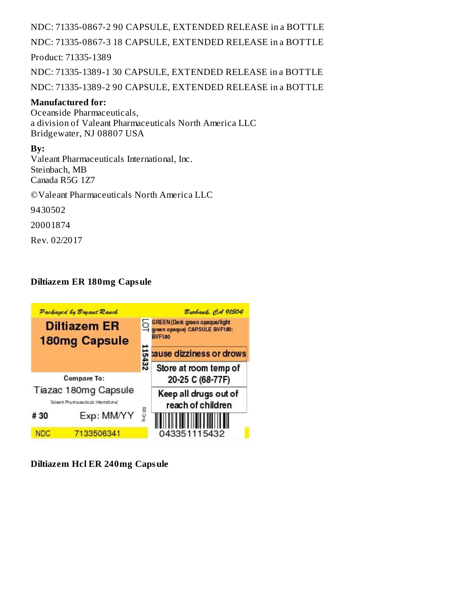NDC: 71335-0867-2 90 CAPSULE, EXTENDED RELEASE in a BOTTLE NDC: 71335-0867-3 18 CAPSULE, EXTENDED RELEASE in a BOTTLE Product: 71335-1389

NDC: 71335-1389-1 30 CAPSULE, EXTENDED RELEASE in a BOTTLE

NDC: 71335-1389-2 90 CAPSULE, EXTENDED RELEASE in a BOTTLE

#### **Manufactured for:**

Oceanside Pharmaceuticals, a division of Valeant Pharmaceuticals North America LLC Bridgewater, NJ 08807 USA

#### **By:**

Valeant Pharmaceuticals International, Inc. Steinbach, MB Canada R5G 1Z7

©Valeant Pharmaceuticals North America LLC

9430502

20001874

Rev. 02/2017

## **Diltiazem ER 180mg Capsule**



**Diltiazem Hcl ER 240mg Capsule**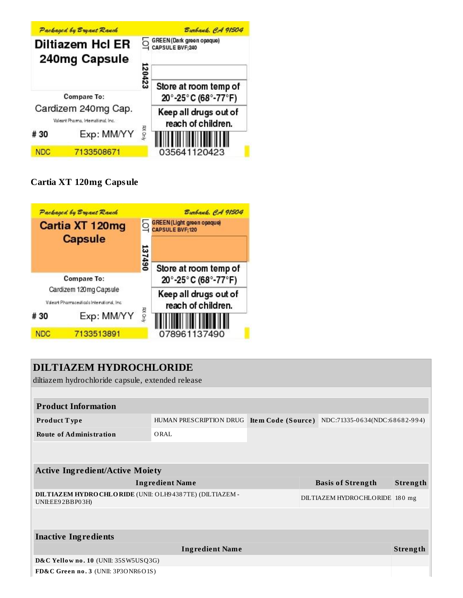

# Cartia XT 120mg Capsule



| <b>DILTIAZEM HYDROCHLORIDE</b>                                               |                                                   |  |  |                                                  |          |  |  |
|------------------------------------------------------------------------------|---------------------------------------------------|--|--|--------------------------------------------------|----------|--|--|
|                                                                              | diltiazem hydrochloride capsule, extended release |  |  |                                                  |          |  |  |
|                                                                              |                                                   |  |  |                                                  |          |  |  |
| <b>Product Information</b>                                                   |                                                   |  |  |                                                  |          |  |  |
| Product Type                                                                 | HUMAN PRESCRIPTION DRUG                           |  |  | Item Code (Source) NDC:71335-0634(NDC:68682-994) |          |  |  |
| <b>Route of Administration</b>                                               | ORAL                                              |  |  |                                                  |          |  |  |
|                                                                              |                                                   |  |  |                                                  |          |  |  |
|                                                                              |                                                   |  |  |                                                  |          |  |  |
| <b>Active Ingredient/Active Moiety</b>                                       |                                                   |  |  |                                                  |          |  |  |
|                                                                              | <b>Ingredient Name</b>                            |  |  | <b>Basis of Strength</b>                         | Strength |  |  |
| DILTIAZEM HYDRO CHLORIDE (UNII: OLH94387TE) (DILTIAZEM -<br>UNII:EE92BBP03H) |                                                   |  |  | DILTIAZEM HYDROCHLORIDE 180 mg                   |          |  |  |
|                                                                              |                                                   |  |  |                                                  |          |  |  |
|                                                                              |                                                   |  |  |                                                  |          |  |  |
| <b>Inactive Ingredients</b>                                                  |                                                   |  |  |                                                  |          |  |  |
|                                                                              | <b>Ingredient Name</b>                            |  |  |                                                  | Strength |  |  |
| D&C Yellow no. 10 (UNII: 35SW5USQ3G)                                         |                                                   |  |  |                                                  |          |  |  |
| FD&C Green no. 3 (UNII: 3P3ONR6O1S)                                          |                                                   |  |  |                                                  |          |  |  |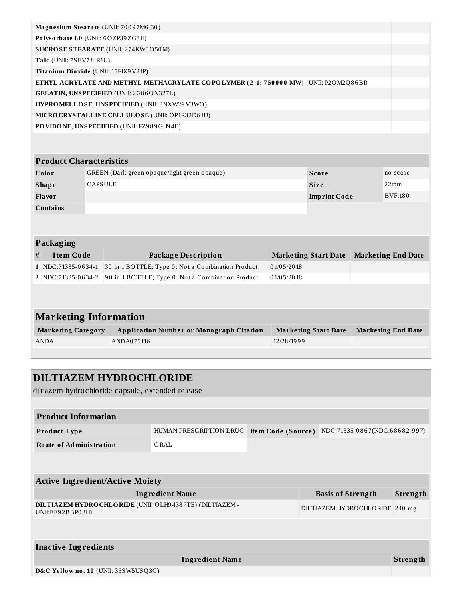Magnesium Stearate (UNII: 70097M6I30)

Polysorbate 80 (UNII: 6OZP39ZG8H)

SUCROSE STEARATE (UNII: 274KW0O50M)

Talc (UNII: 7SEV7J4R1U)

Titanium Dioxide (UNII: 15FIX9V2JP)

ETHYL ACRYLATE AND METHYL METHACRYLATE COPOLYMER (2:1; 750000 MW) (UNII: P2OM2Q86BI)

**GELATIN, UNSPECIFIED (UNII: 2G86QN327L)** 

HYPROMELLOSE, UNSPECIFIED (UNII: 3NXW29V3WO)

MICRO CRYSTALLINE CELLULO SE (UNII: OP1R32D61U)

PO VIDONE, UNSPECIFIED (UNII: FZ989GH94E)

#### **Product Characteristics**

| Color           | GREEN (Dark green opaque/light green opaque) | Score               | no score       |
|-----------------|----------------------------------------------|---------------------|----------------|
| <b>Shape</b>    | <b>CAPSULE</b>                               | <b>Size</b>         | 22mm           |
| Flavor          |                                              | <b>Imprint Code</b> | <b>BVF:180</b> |
| <b>Contains</b> |                                              |                     |                |

#### $\mathbf{p}_{\mathbf{a}c}$ kaging

|   | 14.1145   |                                                                                 |                                         |  |  |  |  |  |
|---|-----------|---------------------------------------------------------------------------------|-----------------------------------------|--|--|--|--|--|
| # | Item Code | Package Description                                                             | Marketing Start Date Marketing End Date |  |  |  |  |  |
|   |           | $1 \text{ NDC}:71335-0634-1$ 30 in 1 BOTTLE; Type 0: Not a Combination Product  | 0 1/0 5/20 18                           |  |  |  |  |  |
|   |           | $\mid$ 2   NDC:71335-0634-2   90 in 1 BOTTLE; Type 0: Not a Combination Product | 0 1/0 5/20 18                           |  |  |  |  |  |

# **Marketing Information**

| <b>Marketing Category</b> | <b>Application Number or Monograph Citation</b> | Marketing Start Date | <b>Marketing End Date</b> |
|---------------------------|-------------------------------------------------|----------------------|---------------------------|
| ANDA                      | ANDA075116                                      | 12/28/1999           |                           |
|                           |                                                 |                      |                           |

# **DILTIAZEM HYDROCHLORIDE**

diltiazem hydrochloride capsule, extended release

| <b>Product Information</b>                                                    |                         |                    |                          |                                |                 |  |
|-------------------------------------------------------------------------------|-------------------------|--------------------|--------------------------|--------------------------------|-----------------|--|
| Product Type                                                                  | HUMAN PRESCRIPTION DRUG | Item Code (Source) |                          | NDC:71335-0867(NDC:68682-997)  |                 |  |
| <b>Route of Administration</b>                                                | ORAL                    |                    |                          |                                |                 |  |
|                                                                               |                         |                    |                          |                                |                 |  |
|                                                                               |                         |                    |                          |                                |                 |  |
| <b>Active Ingredient/Active Moiety</b>                                        |                         |                    |                          |                                |                 |  |
| <b>Ingredient Name</b>                                                        |                         |                    | <b>Basis of Strength</b> | <b>Strength</b>                |                 |  |
| DILTIAZEM HYDRO CHLO RIDE (UNII: OLH94387TE) (DILTIAZEM -<br>UNII:EE92BBP03H) |                         |                    |                          | DILTIAZEM HYDROCHLORIDE 240 mg |                 |  |
|                                                                               |                         |                    |                          |                                |                 |  |
|                                                                               |                         |                    |                          |                                |                 |  |
| <b>Inactive Ingredients</b>                                                   |                         |                    |                          |                                |                 |  |
|                                                                               | <b>Ingredient Name</b>  |                    |                          |                                | <b>Strength</b> |  |
| D&C Yellow no. 10 (UNII: 35SW5USQ3G)                                          |                         |                    |                          |                                |                 |  |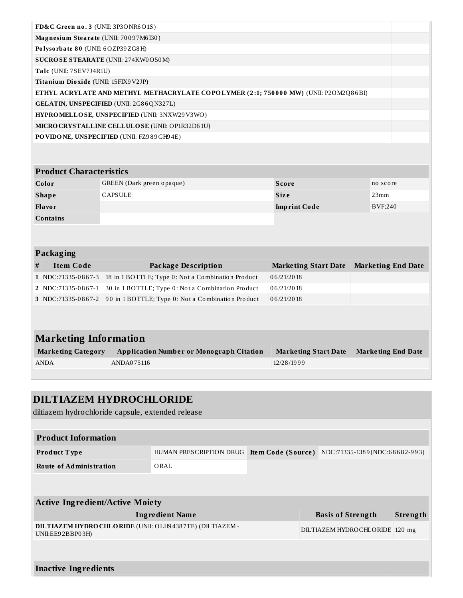|  | <b>FD&amp;C Green no. 3 (UNII: 3P3ONR6O1S)</b> |
|--|------------------------------------------------|
|--|------------------------------------------------|

Magnesium Stearate (UNII: 70097M6I30)

Polysorbate 80 (UNII: 6OZP39ZG8H)

**SUCROSE STEARATE (UNII: 274KW0 O50 M)** 

Talc (UNII: 7SEV7J4R1U)

Titanium Dioxide (UNII: 15FIX9V2JP)

#### ETHYL ACRYLATE AND METHYL METHACRYLATE COPOLYMER (2:1; 750000 MW) (UNII: P2OM2Q86BI)

**GELATIN, UNSPECIFIED (UNII: 2G86QN327L)** 

HYPROMELLOSE, UNSPECIFIED (UNII: 3NXW29V3WO)

MICRO CRYSTALLINE CELLULO SE (UNII: OP1R32D61U)

PO VIDONE, UNSPECIFIED (UNII: FZ989GH94E)

#### **Product Characteristics**

| Color           | GREEN (Dark green opaque) | Score               | no score |
|-----------------|---------------------------|---------------------|----------|
| Shape           | CAPSULE                   | <b>Size</b>         | 23mm     |
| Flavor          |                           | <b>Imprint Code</b> | BVF:240  |
| <b>Contains</b> |                           |                     |          |

#### Packaging

| Item Code | <b>Package Description</b>                                           | <b>Marketing Start Date</b> | <b>Marketing End Date</b> |
|-----------|----------------------------------------------------------------------|-----------------------------|---------------------------|
|           | 1 NDC:71335-0867-3 18 in 1 BOTTLE; Type 0: Not a Combination Product | 06/21/2018                  |                           |
|           | 2 NDC:71335-0867-1 30 in 1 BOTTLE; Type 0: Not a Combination Product | 06/21/2018                  |                           |
|           | 3 NDC:71335-0867-2 90 in 1 BOTTLE; Type 0: Not a Combination Product | 06/21/2018                  |                           |

## **Marketing Information**

| <b>Marketing Category</b> | <b>Application Number or Monograph Citation</b> | <b>Marketing Start Date</b> | <b>Marketing End Date</b> |
|---------------------------|-------------------------------------------------|-----------------------------|---------------------------|
| ANDA                      | ANDA075116                                      | 12/28/1999                  |                           |

# **DILTIAZEM HYDROCHLORIDE** diltiazem hydrochloride capsule, extended release **Product Information** HUMAN PRESCRIPTION DRUG Item Code (Source) NDC:71335-1389(NDC:68682-993) Product Type **Route of Administration** ORAL **Active Ingredient/Active Moiety Ingredient Name Basis of Strength** Strength DILTIAZEM HYDRO CHLORIDE (UNII: OLH94387TE) (DILTIAZEM -DILTIAZEM HYDROCHLORIDE 120 mg UNII:EE92BBP03H)

**Inactive Ingredients**